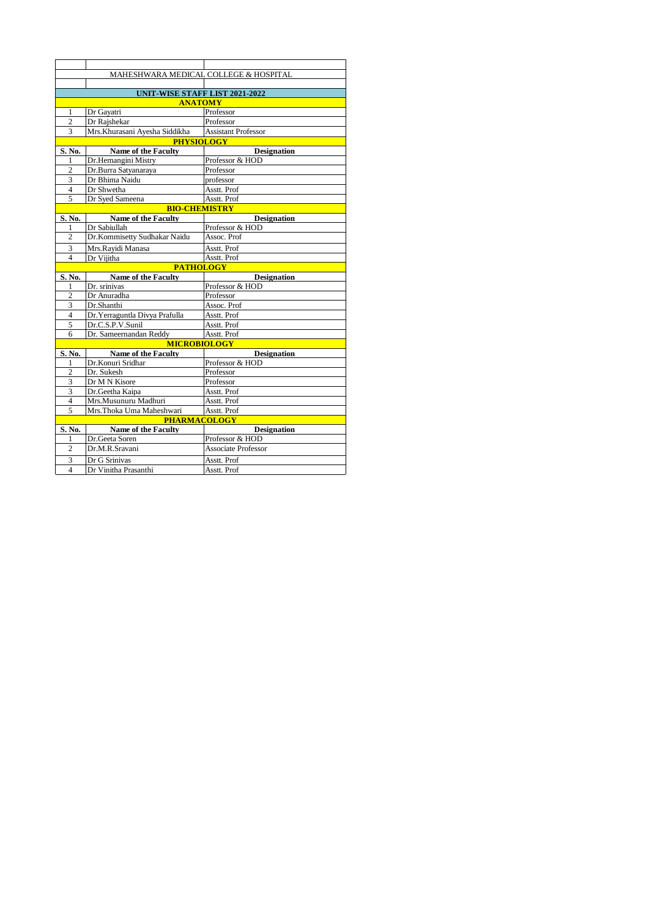|                         | MAHESHWARA MEDICAL COLLEGE & HOSPITAL |                                       |  |  |
|-------------------------|---------------------------------------|---------------------------------------|--|--|
|                         |                                       |                                       |  |  |
|                         | UNIT-WISE STAFF LIST 2021-2022        |                                       |  |  |
|                         | <b>ANATOMY</b>                        |                                       |  |  |
| 1                       | Dr Gayatri                            | Professor                             |  |  |
| $\overline{2}$          | Dr Rajshekar                          | Professor                             |  |  |
| 3                       | Mrs. Khurasani Ayesha Siddikha        | Assistant Professor                   |  |  |
| <b>PHYSIOLOGY</b>       |                                       |                                       |  |  |
| S. No.                  | <b>Name of the Faculty</b>            | <b>Designation</b>                    |  |  |
| 1                       | Dr.Hemangini Mistry                   | Professor & HOD                       |  |  |
| $\overline{c}$          | Dr.Burra Satyanaraya                  | Professor                             |  |  |
| 3                       | Dr Bhima Naidu                        | professor                             |  |  |
| $\overline{4}$          | Dr Shwetha                            | Asstt. Prof                           |  |  |
| 5                       | Dr Syed Sameena                       | Asstt. Prof                           |  |  |
|                         | <b>BIO-CHEMISTRY</b>                  |                                       |  |  |
| S. No.                  | <b>Name of the Faculty</b>            | <b>Designation</b>                    |  |  |
| 1                       | Dr Sabiullah                          | Professor & HOD                       |  |  |
| $\overline{c}$          | Dr.Kommisetty Sudhakar Naidu          | Assoc. Prof                           |  |  |
| 3                       | Mrs.Rayidi Manasa                     | Asstt. Prof                           |  |  |
| $\overline{\mathbf{4}}$ | Dr Vijitha                            | Asstt. Prof                           |  |  |
|                         | <b>PATHOLOGY</b>                      |                                       |  |  |
| S. No.                  | <b>Name of the Faculty</b>            | <b>Designation</b>                    |  |  |
| 1                       | Dr. srinivas                          | Professor & HOD                       |  |  |
| $\overline{2}$          | Dr Anuradha                           | Professor                             |  |  |
| 3                       | Dr.Shanthi                            | Assoc. Prof                           |  |  |
| 4                       | Dr. Yerraguntla Divya Prafulla        | Asstt. Prof                           |  |  |
| 5                       | Dr.C.S.P.V.Sunil                      | Asstt. Prof                           |  |  |
| 6                       | Dr. Sameernandan Reddy                | Asstt. Prof                           |  |  |
|                         | <b>MICROBIOLOGY</b>                   |                                       |  |  |
| S. No.                  | <b>Name of the Faculty</b>            | <b>Designation</b>                    |  |  |
| 1                       | Dr.Konuri Sridhar                     | Professor & HOD                       |  |  |
| $\overline{c}$          | Dr. Sukesh                            | Professor                             |  |  |
| 3                       | Dr M N Kisore                         | Professor                             |  |  |
| 3                       | Dr.Geetha Kaipa                       | Asstt. Prof                           |  |  |
| 4                       | Mrs.Musunuru Madhuri                  | Asstt. Prof                           |  |  |
| 5                       | Mrs.Thoka Uma Maheshwari              | Asstt. Prof                           |  |  |
|                         | <b>PHARMACOLOGY</b>                   |                                       |  |  |
| S. No.                  | Name of the Faculty<br>Dr.Geeta Soren | <b>Designation</b><br>Professor & HOD |  |  |
| 1<br>$\overline{c}$     | Dr.M.R.Sravani                        | <b>Associate Professor</b>            |  |  |
| 3                       | Dr G Srinivas                         | Asstt. Prof                           |  |  |
| $\overline{4}$          | Dr Vinitha Prasanthi                  | Asstt. Prof                           |  |  |
|                         |                                       |                                       |  |  |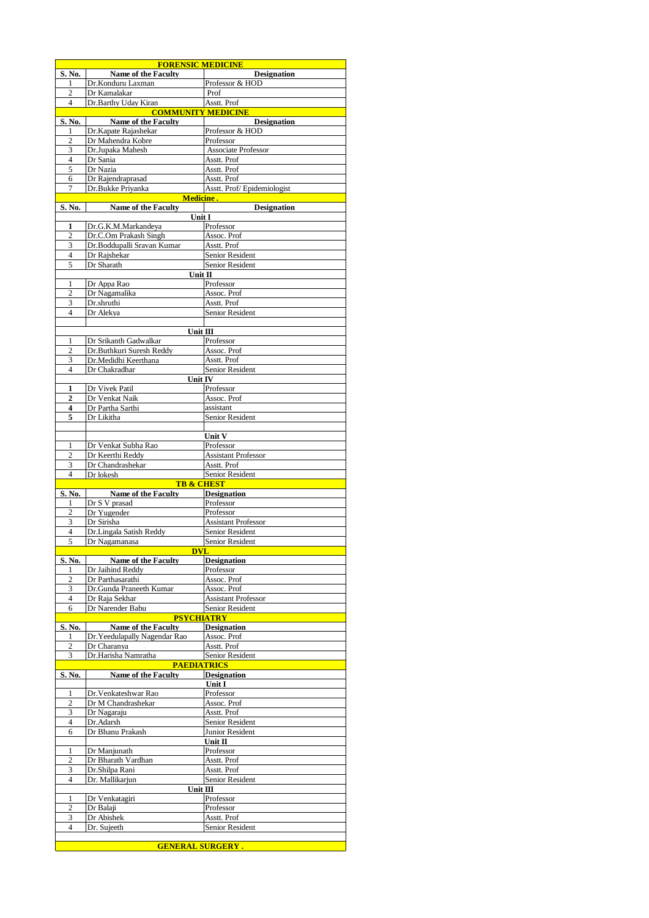|                     | <b>FORENSIC MEDICINE</b>                                    |                                           |
|---------------------|-------------------------------------------------------------|-------------------------------------------|
| S. No.              | <b>Name of the Faculty</b>                                  | <b>Designation</b>                        |
| 1                   | Dr.Konduru Laxman                                           | Professor & HOD                           |
| 2<br>$\overline{4}$ | Dr Kamalakar                                                | Prof                                      |
|                     | Dr.Barthy Uday Kiran<br><b>COMMUNITY MEDICINE</b>           | Asstt. Prof                               |
| S. No.              | <b>Name of the Faculty</b>                                  | <b>Designation</b>                        |
| 1                   | Dr.Kapate Rajashekar                                        | Professor & HOD                           |
| $\overline{c}$      | Dr Mahendra Kobre                                           | Professor                                 |
| 3                   | Dr.Jupaka Mahesh                                            | Associate Professor                       |
| $\overline{4}$      | Dr Sania                                                    | Asstt. Prof                               |
| 5                   | Dr Nazia                                                    | Asstt. Prof                               |
| 6                   | Dr Rajendraprasad                                           | Asstt. Prof                               |
| 7                   | Dr.Bukke Priyanka                                           | Asstt. Prof/Epidemiologist                |
| S. No.              | <b>Medicine.</b><br><b>Name of the Faculty</b>              | <b>Designation</b>                        |
|                     | Unit I                                                      |                                           |
| 1                   | Dr.G.K.M.Markandeya                                         | Professor                                 |
| 2                   | Dr.C.Om Prakash Singh                                       | Assoc. Prof                               |
| 3                   | Dr.Boddupalli Sravan Kumar                                  | Asstt. Prof                               |
| $\overline{4}$      | Dr Rajshekar                                                | Senior Resident                           |
| 5                   | Dr Sharath                                                  | Senior Resident                           |
|                     | Unit II                                                     | Professor                                 |
| 1<br>$\overline{c}$ | Dr Appa Rao<br>Dr Nagamalika                                | Assoc. Prof                               |
| 3                   | Dr.shruthi                                                  | Asstt. Prof                               |
| $\overline{4}$      | Dr Alekya                                                   | Senior Resident                           |
|                     |                                                             |                                           |
|                     | Unit $\mathbf{III}$                                         |                                           |
| 1                   | Dr Srikanth Gadwalkar                                       | Professor                                 |
| $\overline{c}$      | Dr.Buthkuri Suresh Reddy                                    | Assoc. Prof                               |
| 3                   | Dr.Medidhi Keerthana                                        | Asstt. Prof                               |
| $\overline{4}$      | Dr Chakradhar                                               | Senior Resident                           |
| 1                   | Unit IV<br>Dr Vivek Patil                                   | Professor                                 |
| $\overline{2}$      | Dr Venkat Naik                                              | Assoc. Prof                               |
| 4                   | Dr Partha Sarthi                                            | assistant                                 |
| 5                   | Dr Likitha                                                  | Senior Resident                           |
|                     |                                                             |                                           |
|                     |                                                             | Unit V                                    |
| 1                   | Dr Venkat Subha Rao                                         | Professor                                 |
| $\overline{c}$      | Dr Keerthi Reddy                                            | <b>Assistant Professor</b><br>Asstt. Prof |
| 3<br>4              | Dr Chandrashekar<br>Dr lokesh                               | Senior Resident                           |
|                     |                                                             | <b>TB &amp; CHEST</b>                     |
| S. No.              | <b>Name of the Faculty</b>                                  | <b>Designation</b>                        |
| 1                   | Dr S V prasad                                               | Professor                                 |
| 2                   | Dr Yugender                                                 | Professor                                 |
| 3                   | Dr Sirisha                                                  | <b>Assistant Professor</b>                |
| 4<br>5              | Dr.Lingala Satish Reddy<br>Dr Nagamanasa                    | Senior Resident<br>Senior Resident        |
|                     | DVI                                                         |                                           |
| <u>S. No.</u>       | <b>Name of the Faculty</b>                                  | <b>Designation</b>                        |
| 1                   | Dr Jaihind Reddy                                            | Professor                                 |
| 2                   | Dr Parthasarathi                                            | Assoc. Prof                               |
| 3                   | Dr.Gunda Praneeth Kumar                                     | Assoc. Prof                               |
| $\overline{4}$      | Dr Raja Sekhar                                              | <b>Assistant Professor</b>                |
| 6                   | Dr Narender Babu                                            | Senior Resident                           |
|                     | <b>PSYCHIATRY</b>                                           | <b>Designation</b>                        |
| S. No.<br>1         | <b>Name of the Faculty</b><br>Dr. Yeedulapally Nagendar Rao | Assoc. Prof                               |
| 2                   | Dr Charanya                                                 | Asstt. Prof                               |
| 3                   | Dr.Harisha Namratha                                         | Senior Resident                           |
|                     | <b>PAEDIATRICS</b>                                          |                                           |
| S. No.              | <b>Name of the Faculty</b>                                  | <b>Designation</b>                        |
|                     |                                                             | Unit I                                    |
| 1<br>$\overline{c}$ | Dr. Venkateshwar Rao                                        | Professor<br>Assoc. Prof                  |
|                     |                                                             |                                           |
|                     | Dr M Chandrashekar                                          |                                           |
| 3                   | Dr Nagaraju                                                 | Asstt. Prof                               |
| 4<br>6              | Dr.Adarsh<br>Dr Bhanu Prakash                               | Senior Resident<br>Junior Resident        |
|                     |                                                             | Unit $\rm II$                             |
| 1                   | Dr Manjunath                                                | Professor                                 |
| 2                   | Dr Bharath Vardhan                                          | Asstt. Prof                               |
| 3                   | Dr.Shilpa Rani                                              | Asstt. Prof                               |
| 4                   | Dr. Mallikarjun                                             | Senior Resident                           |
|                     | Unit III                                                    |                                           |
| 1                   | Dr Venkatagiri                                              | Professor                                 |
| 2<br>3              | Dr Balaji<br>Dr Abishek                                     | Professor<br>Asstt. Prof                  |
| 4                   | Dr. Sujeeth                                                 | Senior Resident                           |
|                     | <b>GENERAL SURGERY</b>                                      |                                           |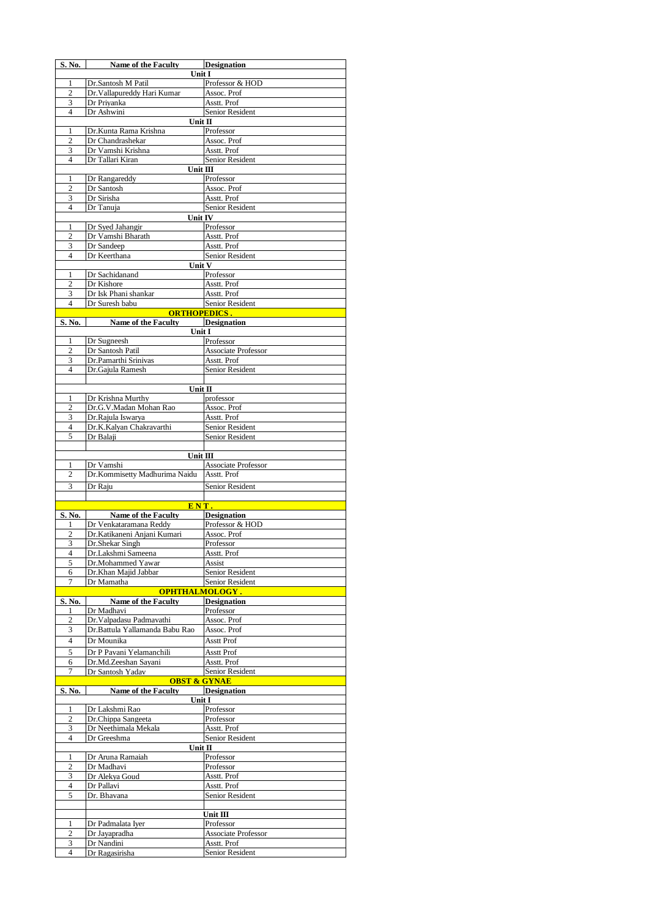| S. No.                   | <b>Name of the Faculty</b>                       | <b>Designation</b>                    |
|--------------------------|--------------------------------------------------|---------------------------------------|
|                          | Unit I                                           |                                       |
| 1                        | Dr.Santosh M Patil                               | Professor & HOD                       |
| $\boldsymbol{2}$         | Dr. Vallapureddy Hari Kumar                      | Assoc. Prof                           |
| 3<br>$\overline{4}$      | Dr Priyanka<br>Dr Ashwini                        | Asstt. Prof<br>Senior Resident        |
|                          | Unit $\Pi$                                       |                                       |
| 1                        | Dr.Kunta Rama Krishna                            | Professor                             |
| $\overline{2}$           | Dr Chandrashekar                                 | Assoc. Prof                           |
| 3                        | Dr Vamshi Krishna                                | Asstt. Prof                           |
| $\overline{4}$           | Dr Tallari Kiran                                 | Senior Resident                       |
|                          | Unit III                                         |                                       |
| 1                        | Dr Rangareddy                                    | Professor                             |
| $\overline{2}$<br>3      | Dr Santosh<br>Dr Sirisha                         | Assoc. Prof<br>Asstt. Prof            |
| $\overline{4}$           | Dr Tanuja                                        | Senior Resident                       |
|                          | Unit IV                                          |                                       |
| 1                        | Dr Syed Jahangir                                 | Professor                             |
| $\overline{c}$           | Dr Vamshi Bharath                                | Asstt. Prof                           |
| 3                        | Dr Sandeep                                       | Asstt. Prof                           |
| $\overline{4}$           | Dr Keerthana                                     | Senior Resident                       |
| 1                        | Unit V                                           |                                       |
| $\overline{2}$           | Dr Sachidanand<br>Dr Kishore                     | Professor<br>Asstt. Prof              |
| 3                        | Dr Isk Phani shankar                             | Asstt. Prof                           |
| $\overline{4}$           | Dr Suresh babu                                   | Senior Resident                       |
|                          | <b>ORTHOPEDICS.</b>                              |                                       |
| S. No.                   | Name of the Faculty                              | <b>Designation</b>                    |
|                          | Unit I                                           |                                       |
| 1                        | Dr Sugneesh                                      | Professor                             |
| $\overline{2}$           | Dr Santosh Patil                                 | <b>Associate Professor</b>            |
| 3<br>$\overline{4}$      | Dr.Pamarthi Srinivas<br>Dr.Gajula Ramesh         | Asstt. Prof<br><b>Senior Resident</b> |
|                          |                                                  |                                       |
|                          | Unit II                                          |                                       |
| 1                        | Dr Krishna Murthy                                | professor                             |
| $\overline{c}$           | Dr.G.V.Madan Mohan Rao                           | Assoc. Prof                           |
| 3                        | Dr.Rajula Iswarya                                | Asstt. Prof                           |
| $\overline{4}$           | Dr.K.Kalyan Chakravarthi                         | Senior Resident                       |
| 5                        | Dr Balaji                                        | Senior Resident                       |
|                          | Unit III                                         |                                       |
|                          |                                                  |                                       |
| 1                        | Dr Vamshi                                        | <b>Associate Professor</b>            |
| 2                        | Dr.Kommisetty Madhurima Naidu                    | Asstt. Prof                           |
| 3                        | Dr Raju                                          | <b>Senior Resident</b>                |
|                          |                                                  |                                       |
|                          | ENT.                                             |                                       |
| S. No.                   | <b>Name of the Faculty</b>                       | <b>Designation</b>                    |
| 1                        | Dr Venkataramana Reddy                           | Professor & HOD                       |
| $\overline{c}$           | Dr.Katikaneni Anjani Kumari                      | Assoc. Prof                           |
| 3<br>$\overline{4}$      | Dr.Shekar Singh                                  | Professor                             |
| 5                        | Dr.Lakshmi Sameena<br>Dr.Mohammed Yawar          | Asstt. Prof<br>Assist                 |
| 6                        | Dr.Khan Majid Jabbar                             | Senior Resident                       |
| 7                        | Dr Mamatha                                       | Senior Resident                       |
|                          | <b>OPHTHALMOLOGY.</b>                            |                                       |
| S. No.                   | Name of the Faculty                              | <b>Designation</b>                    |
| 1<br>2                   | Dr Madhavi<br>Dr. Valpadasu Padmavathi           | Professor<br>Assoc. Prof              |
| 3                        | Dr.Battula Yallamanda Babu Rao                   | Assoc. Prof                           |
| $\overline{4}$           | Dr Mounika                                       | <b>Asstt Prof</b>                     |
|                          |                                                  |                                       |
| 5<br>6                   | Dr P Pavani Yelamanchili<br>Dr.Md.Zeeshan Sayani | Asstt Prof<br>Asstt. Prof             |
| 7                        | Dr Santosh Yadav                                 | Senior Resident                       |
|                          | <b>OBST &amp; GYNAE</b>                          |                                       |
| S. No.                   | <b>Name of the Faculty</b>                       | <b>Designation</b>                    |
|                          | Unit I                                           |                                       |
| 1                        | Dr Lakshmi Rao                                   | Professor                             |
| 2<br>3                   | Dr.Chippa Sangeeta<br>Dr Neethimala Mekala       | Professor<br>Asstt. Prof              |
| $\overline{\mathcal{L}}$ | Dr Greeshma                                      | Senior Resident                       |
|                          | Unit $\Pi$                                       |                                       |
| 1                        | Dr Aruna Ramaiah                                 | Professor                             |
| $\overline{2}$           | Dr Madhavi                                       | Professor                             |
| 3                        | Dr Alekya Goud                                   | Asstt. Prof                           |
| 4                        | Dr Pallavi                                       | Asstt. Prof                           |
| 5                        | Dr. Bhavana                                      | Senior Resident                       |
|                          |                                                  | Unit III                              |
| 1                        | Dr Padmalata Iyer                                | Professor                             |
| $\overline{c}$           | Dr Jayapradha                                    | Associate Professor                   |
| 3<br>$\overline{4}$      | Dr Nandini<br>Dr Ragasirisha                     | Asstt. Prof<br>Senior Resident        |